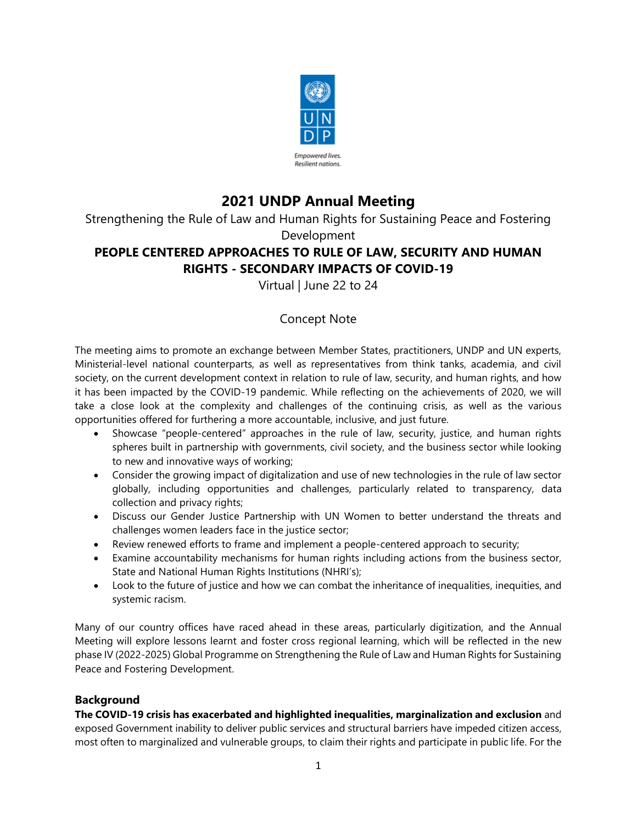

# **2021 UNDP Annual Meeting**

Strengthening the Rule of Law and Human Rights for Sustaining Peace and Fostering

Development

# **PEOPLE CENTERED APPROACHES TO RULE OF LAW, SECURITY AND HUMAN RIGHTS - SECONDARY IMPACTS OF COVID-19**

Virtual | June 22 to 24

## Concept Note

The meeting aims to promote an exchange between Member States, practitioners, UNDP and UN experts, Ministerial-level national counterparts, as well as representatives from think tanks, academia, and civil society, on the current development context in relation to rule of law, security, and human rights, and how it has been impacted by the COVID-19 pandemic. While reflecting on the achievements of 2020, we will take a close look at the complexity and challenges of the continuing crisis, as well as the various opportunities offered for furthering a more accountable, inclusive, and just future.

- Showcase "people-centered" approaches in the rule of law, security, justice, and human rights spheres built in partnership with governments, civil society, and the business sector while looking to new and innovative ways of working;
- Consider the growing impact of digitalization and use of new technologies in the rule of law sector globally, including opportunities and challenges, particularly related to transparency, data collection and privacy rights;
- Discuss our Gender Justice Partnership with UN Women to better understand the threats and challenges women leaders face in the justice sector;
- Review renewed efforts to frame and implement a people-centered approach to security;
- Examine accountability mechanisms for human rights including actions from the business sector, State and National Human Rights Institutions (NHRI's);
- Look to the future of justice and how we can combat the inheritance of inequalities, inequities, and systemic racism.

Many of our country offices have raced ahead in these areas, particularly digitization, and the Annual Meeting will explore lessons learnt and foster cross regional learning, which will be reflected in the new phase IV (2022-2025) Global Programme on Strengthening the Rule of Law and Human Rights for Sustaining Peace and Fostering Development.

### **Background**

**The COVID-19 crisis has exacerbated and highlighted inequalities, marginalization and exclusion** and exposed Government inability to deliver public services and structural barriers have impeded citizen access, most often to marginalized and vulnerable groups, to claim their rights and participate in public life. For the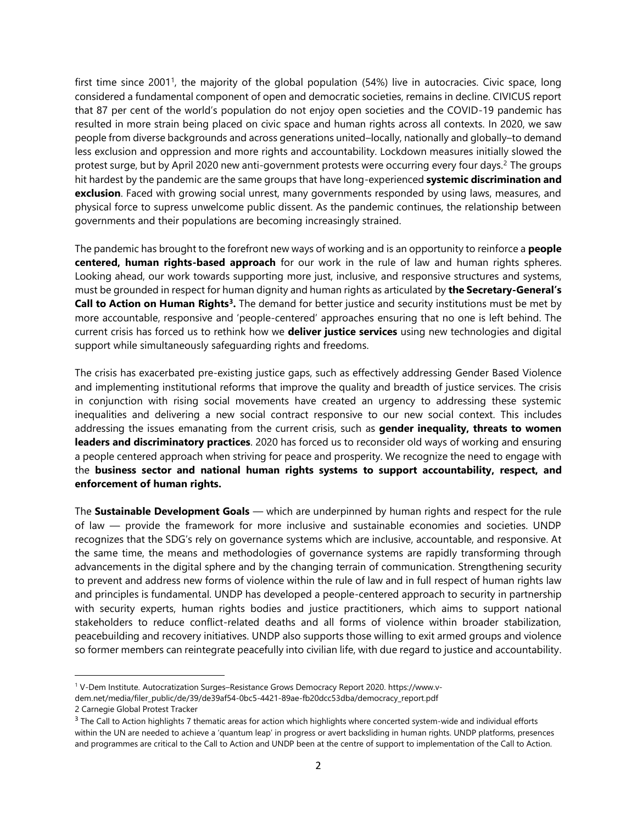first time since 2001<sup>1</sup>, the majority of the global population (54%) live in autocracies. Civic space, long considered a fundamental component of open and democratic societies, remains in decline. CIVICUS report that 87 per cent of the world's population do not enjoy open societies and the COVID-19 pandemic has resulted in more strain being placed on civic space and human rights across all contexts. In 2020, we saw people from diverse backgrounds and across generations united–locally, nationally and globally–to demand less exclusion and oppression and more rights and accountability. Lockdown measures initially slowed the protest surge, but by April 2020 new anti-government protests were occurring every four days.<sup>2</sup> The groups hit hardest by the pandemic are the same groups that have long-experienced **systemic discrimination and exclusion**. Faced with growing social unrest, many governments responded by using laws, measures, and physical force to supress unwelcome public dissent. As the pandemic continues, the relationship between governments and their populations are becoming increasingly strained.

The pandemic has brought to the forefront new ways of working and is an opportunity to reinforce a **people centered, human rights-based approach** for our work in the rule of law and human rights spheres. Looking ahead, our work towards supporting more just, inclusive, and responsive structures and systems, must be grounded in respect for human dignity and human rights as articulated by **the Secretary-General's Call to Action on Human Rights<sup>3</sup> .** The demand for better justice and security institutions must be met by more accountable, responsive and 'people-centered' approaches ensuring that no one is left behind. The current crisis has forced us to rethink how we **deliver justice services** using new technologies and digital support while simultaneously safeguarding rights and freedoms.

The crisis has exacerbated pre-existing justice gaps, such as effectively addressing Gender Based Violence and implementing institutional reforms that improve the quality and breadth of justice services. The crisis in conjunction with rising social movements have created an urgency to addressing these systemic inequalities and delivering a new social contract responsive to our new social context. This includes addressing the issues emanating from the current crisis, such as **gender inequality, threats to women leaders and discriminatory practices**. 2020 has forced us to reconsider old ways of working and ensuring a people centered approach when striving for peace and prosperity. We recognize the need to engage with the **business sector and national human rights systems to support accountability, respect, and enforcement of human rights.**

The **Sustainable Development Goals** — which are underpinned by human rights and respect for the rule of law — provide the framework for more inclusive and sustainable economies and societies. UNDP recognizes that the SDG's rely on governance systems which are inclusive, accountable, and responsive. At the same time, the means and methodologies of governance systems are rapidly transforming through advancements in the digital sphere and by the changing terrain of communication. Strengthening security to prevent and address new forms of violence within the rule of law and in full respect of human rights law and principles is fundamental. UNDP has developed a people-centered approach to security in partnership with security experts, human rights bodies and justice practitioners, which aims to support national stakeholders to reduce conflict-related deaths and all forms of violence within broader stabilization, peacebuilding and recovery initiatives. UNDP also supports those willing to exit armed groups and violence so former members can reintegrate peacefully into civilian life, with due regard to justice and accountability.

<sup>1</sup> V-Dem Institute. Autocratization Surges–Resistance Grows Democracy Report 2020. https://www.v-

dem.net/media/filer\_public/de/39/de39af54-0bc5-4421-89ae-fb20dcc53dba/democracy\_report.pdf

<sup>2</sup> Carnegie Global Protest Tracker

 $^3$  The Call to Action highlights 7 thematic areas for action which highlights where concerted system-wide and individual efforts within the UN are needed to achieve a 'quantum leap' in progress or avert backsliding in human rights. UNDP platforms, presences and programmes are critical to the Call to Action and UNDP been at the centre of support to implementation of the Call to Action.